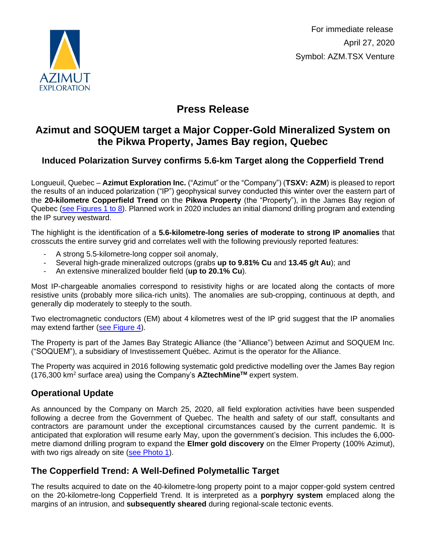

 For immediate release April 27, 2020 Symbol: AZM.TSX Venture

# **Press Release**

## **Azimut and SOQUEM target a Major Copper-Gold Mineralized System on the Pikwa Property, James Bay region, Quebec**

## **Induced Polarization Survey confirms 5.6-km Target along the Copperfield Trend**

Longueuil, Quebec – **Azimut Exploration Inc.** ("Azimut" or the "Company") (**TSXV: AZM**) is pleased to report the results of an induced polarization ("IP") geophysical survey conducted this winter over the eastern part of the **20-kilometre Copperfield Trend** on the **Pikwa Property** (the "Property"), in the James Bay region of Quebec [\(see Figures 1 to 8\)](http://www.azimut-exploration.com/en/presentations/PR_20200427_Fig1-8+Photo-p.pdf). Planned work in 2020 includes an initial diamond drilling program and extending the IP survey westward.

The highlight is the identification of a **5.6-kilometre-long series of moderate to strong IP anomalies** that crosscuts the entire survey grid and correlates well with the following previously reported features:

- A strong 5.5-kilometre-long copper soil anomaly,
- Several high-grade mineralized outcrops (grabs **up to 9.81% Cu** and **13.45 g/t Au**); and
- An extensive mineralized boulder field (**up to 20.1% Cu**).

Most IP-chargeable anomalies correspond to resistivity highs or are located along the contacts of more resistive units (probably more silica-rich units). The anomalies are sub-cropping, continuous at depth, and generally dip moderately to steeply to the south.

Two electromagnetic conductors (EM) about 4 kilometres west of the IP grid suggest that the IP anomalies may extend farther [\(see Figure 4\)](http://www.azimut-exploration.com/en/presentations/PR_20200427_Fig4-p.pdf).

The Property is part of the James Bay Strategic Alliance (the "Alliance") between Azimut and SOQUEM Inc. ("SOQUEM"), a subsidiary of Investissement Québec. Azimut is the operator for the Alliance.

The Property was acquired in 2016 following systematic gold predictive modelling over the James Bay region (176,300 km<sup>2</sup> surface area) using the Company's **AZtechMineTM** expert system.

## **Operational Update**

As announced by the Company on March 25, 2020, all field exploration activities have been suspended following a decree from the Government of Quebec. The health and safety of our staff, consultants and contractors are paramount under the exceptional circumstances caused by the current pandemic. It is anticipated that exploration will resume early May, upon the government's decision. This includes the 6,000 metre diamond drilling program to expand the **Elmer gold discovery** on the Elmer Property (100% Azimut), with two rigs already on site [\(see Photo 1\)](http://www.azimut-exploration.com/en/presentations/PR_20200427_Photo-p.pdf).

## **The Copperfield Trend: A Well-Defined Polymetallic Target**

The results acquired to date on the 40-kilometre-long property point to a major copper-gold system centred on the 20-kilometre-long Copperfield Trend. It is interpreted as a **porphyry system** emplaced along the margins of an intrusion, and **subsequently sheared** during regional-scale tectonic events.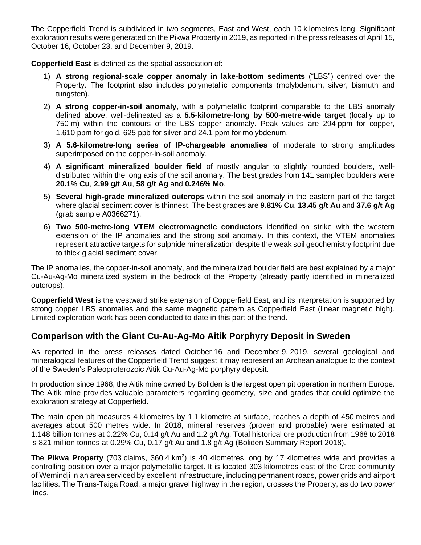The Copperfield Trend is subdivided in two segments, East and West, each 10 kilometres long. Significant exploration results were generated on the Pikwa Property in 2019, as reported in the press releases of April 15, October 16, October 23, and December 9, 2019.

**Copperfield East** is defined as the spatial association of:

- 1) **A strong regional-scale copper anomaly in lake-bottom sediments** ("LBS") centred over the Property. The footprint also includes polymetallic components (molybdenum, silver, bismuth and tungsten).
- 2) **A strong copper-in-soil anomaly**, with a polymetallic footprint comparable to the LBS anomaly defined above, well-delineated as a **5.5-kilometre-long by 500-metre-wide target** (locally up to 750 m) within the contours of the LBS copper anomaly. Peak values are 294 ppm for copper, 1.610 ppm for gold, 625 ppb for silver and 24.1 ppm for molybdenum.
- 3) **A 5.6-kilometre-long series of IP-chargeable anomalies** of moderate to strong amplitudes superimposed on the copper-in-soil anomaly.
- 4) **A significant mineralized boulder field** of mostly angular to slightly rounded boulders, welldistributed within the long axis of the soil anomaly. The best grades from 141 sampled boulders were **20.1% Cu**, **2.99 g/t Au**, **58 g/t Ag** and **0.246% Mo**.
- 5) **Several high-grade mineralized outcrops** within the soil anomaly in the eastern part of the target where glacial sediment cover is thinnest. The best grades are **9.81% Cu**, **13.45 g/t Au** and **37.6 g/t Ag** (grab sample A0366271).
- 6) **Two 500-metre-long VTEM electromagnetic conductors** identified on strike with the western extension of the IP anomalies and the strong soil anomaly. In this context, the VTEM anomalies represent attractive targets for sulphide mineralization despite the weak soil geochemistry footprint due to thick glacial sediment cover.

The IP anomalies, the copper-in-soil anomaly, and the mineralized boulder field are best explained by a major Cu-Au-Ag-Mo mineralized system in the bedrock of the Property (already partly identified in mineralized outcrops).

**Copperfield West** is the westward strike extension of Copperfield East, and its interpretation is supported by strong copper LBS anomalies and the same magnetic pattern as Copperfield East (linear magnetic high). Limited exploration work has been conducted to date in this part of the trend.

#### **Comparison with the Giant Cu-Au-Ag-Mo Aitik Porphyry Deposit in Sweden**

As reported in the press releases dated October 16 and December 9, 2019, several geological and mineralogical features of the Copperfield Trend suggest it may represent an Archean analogue to the context of the Sweden's Paleoproterozoic Aitik Cu-Au-Ag-Mo porphyry deposit.

In production since 1968, the Aitik mine owned by Boliden is the largest open pit operation in northern Europe. The Aitik mine provides valuable parameters regarding geometry, size and grades that could optimize the exploration strategy at Copperfield.

The main open pit measures 4 kilometres by 1.1 kilometre at surface, reaches a depth of 450 metres and averages about 500 metres wide. In 2018, mineral reserves (proven and probable) were estimated at 1.148 billion tonnes at 0.22% Cu, 0.14 g/t Au and 1.2 g/t Ag. Total historical ore production from 1968 to 2018 is 821 million tonnes at 0.29% Cu, 0.17 g/t Au and 1.8 g/t Ag (Boliden Summary Report 2018).

The Pikwa Property (703 claims, 360.4 km<sup>2</sup>) is 40 kilometres long by 17 kilometres wide and provides a controlling position over a major polymetallic target. It is located 303 kilometres east of the Cree community of Wemindji in an area serviced by excellent infrastructure, including permanent roads, power grids and airport facilities. The Trans-Taiga Road, a major gravel highway in the region, crosses the Property, as do two power lines.